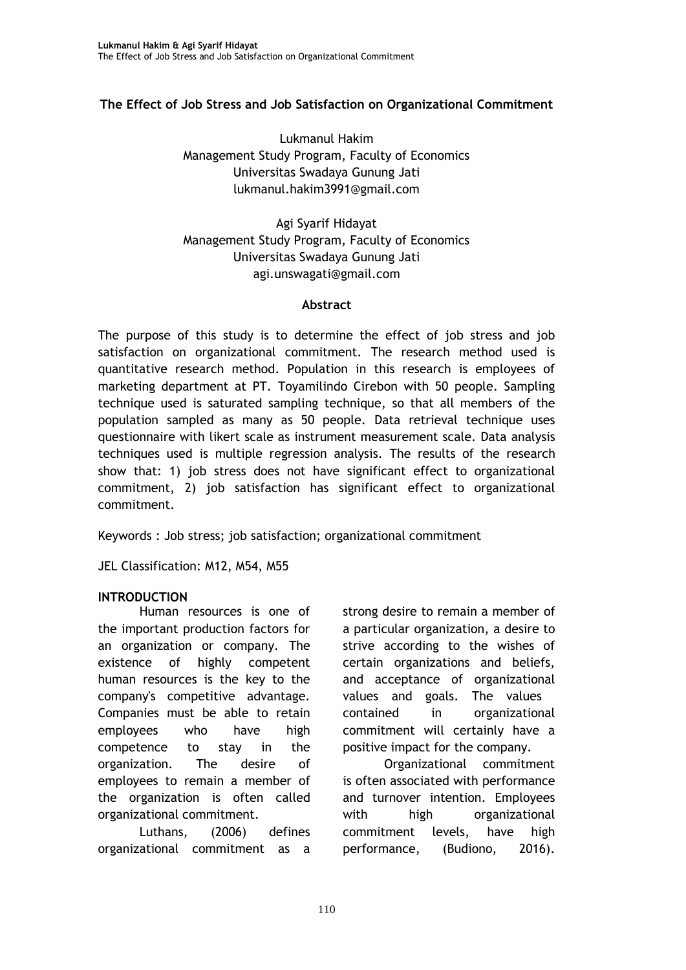### **The Effect of Job Stress and Job Satisfaction on Organizational Commitment**

Lukmanul Hakim Management Study Program, Faculty of Economics Universitas Swadaya Gunung Jati [lukmanul.hakim3991@gmail.com](mailto:lukmanul.hakim3991@gmail.com)

Agi Syarif Hidayat Management Study Program, Faculty of Economics Universitas Swadaya Gunung Jati [agi.unswagati@gmail.com](mailto:agi.unswagati@gmail.com)

#### **Abstract**

The purpose of this study is to determine the effect of job stress and job satisfaction on organizational commitment. The research method used is quantitative research method. Population in this research is employees of marketing department at PT. Toyamilindo Cirebon with 50 people. Sampling technique used is saturated sampling technique, so that all members of the population sampled as many as 50 people. Data retrieval technique uses questionnaire with likert scale as instrument measurement scale. Data analysis techniques used is multiple regression analysis. The results of the research show that: 1) job stress does not have significant effect to organizational commitment, 2) job satisfaction has significant effect to organizational commitment.

Keywords : Job stress; job satisfaction; organizational commitment

JEL Classification: M12, M54, M55

#### **INTRODUCTION**

Human resources is one of the important production factors for an organization or company. The existence of highly competent human resources is the key to the company's competitive advantage. Companies must be able to retain employees who have high competence to stay in the organization. The desire of employees to remain a member of the organization is often called organizational commitment.

Luthans, (2006) defines organizational commitment as a

strong desire to remain a member of a particular organization, a desire to strive according to the wishes of certain organizations and beliefs, and acceptance of organizational values and goals. The values contained in organizational commitment will certainly have a positive impact for the company.

Organizational commitment is often associated with performance and turnover intention. Employees with high organizational commitment levels, have high performance, (Budiono, 2016).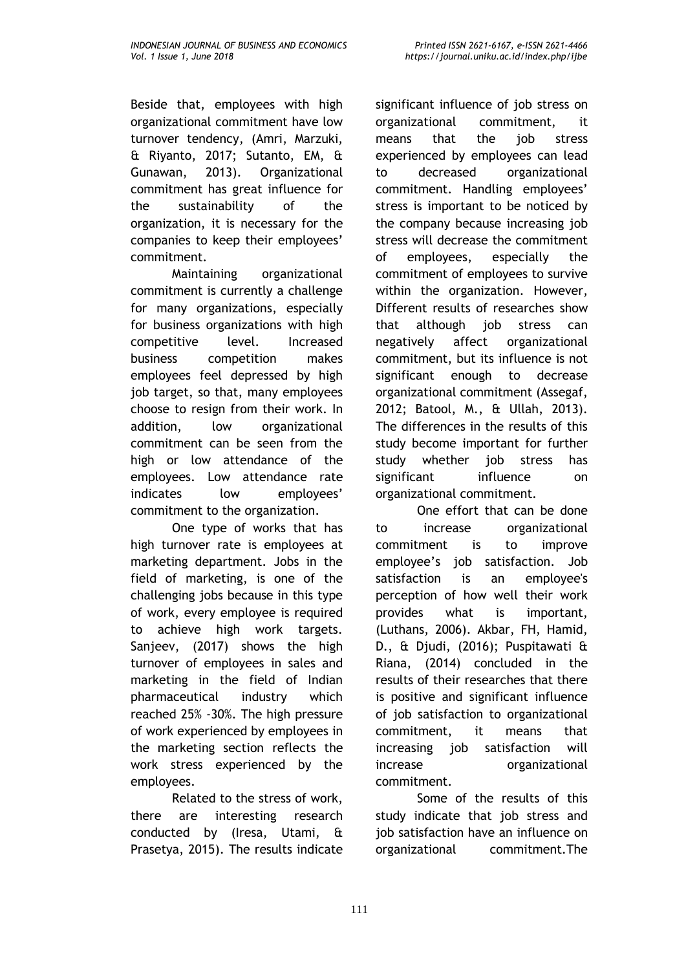Beside that, employees with high organizational commitment have low turnover tendency, (Amri, Marzuki, & Riyanto, 2017; Sutanto, EM, & Gunawan, 2013). Organizational commitment has great influence for the sustainability of the organization, it is necessary for the companies to keep their employees' commitment.

Maintaining organizational commitment is currently a challenge for many organizations, especially for business organizations with high competitive level. Increased business competition makes employees feel depressed by high job target, so that, many employees choose to resign from their work. In addition, low organizational commitment can be seen from the high or low attendance of the employees. Low attendance rate indicates low employees' commitment to the organization.

One type of works that has high turnover rate is employees at marketing department. Jobs in the field of marketing, is one of the challenging jobs because in this type of work, every employee is required to achieve high work targets. Sanjeev, (2017) shows the high turnover of employees in sales and marketing in the field of Indian pharmaceutical industry which reached 25% -30%. The high pressure of work experienced by employees in the marketing section reflects the work stress experienced by the employees.

Related to the stress of work, there are interesting research conducted by (Iresa, Utami, & Prasetya, 2015). The results indicate

significant influence of job stress on organizational commitment, it means that the job stress experienced by employees can lead to decreased organizational commitment. Handling employees' stress is important to be noticed by the company because increasing job stress will decrease the commitment of employees, especially the commitment of employees to survive within the organization. However, Different results of researches show that although job stress can negatively affect organizational commitment, but its influence is not significant enough to decrease organizational commitment (Assegaf, 2012; Batool, M., & Ullah, 2013). The differences in the results of this study become important for further study whether job stress has significant influence on organizational commitment.

One effort that can be done to increase organizational commitment is to improve employee's job satisfaction. Job satisfaction is an employee's perception of how well their work provides what is important, (Luthans, 2006). Akbar, FH, Hamid, D., & Djudi, (2016); Puspitawati & Riana, (2014) concluded in the results of their researches that there is positive and significant influence of job satisfaction to organizational commitment, it means that increasing job satisfaction will increase organizational commitment.

Some of the results of this study indicate that job stress and job satisfaction have an influence on organizational commitment.The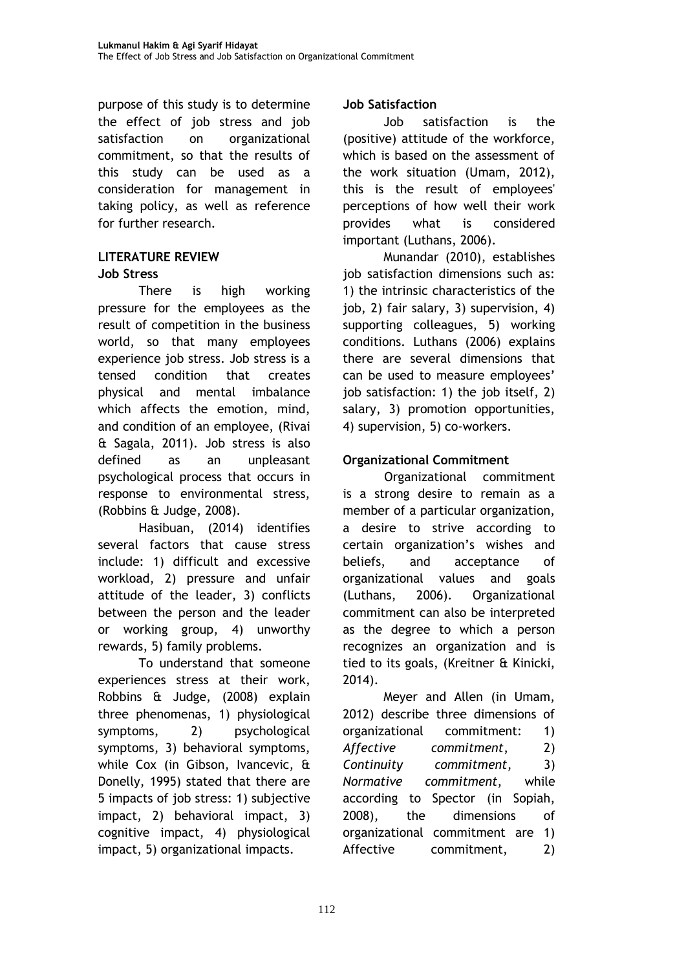purpose of this study is to determine the effect of job stress and job satisfaction on organizational commitment, so that the results of this study can be used as a consideration for management in taking policy, as well as reference for further research.

#### **LITERATURE REVIEW Job Stress**

There is high working pressure for the employees as the result of competition in the business world, so that many employees experience job stress. Job stress is a tensed condition that creates physical and mental imbalance which affects the emotion, mind, and condition of an employee, (Rivai & Sagala, 2011). Job stress is also defined as an unpleasant psychological process that occurs in response to environmental stress, (Robbins & Judge, 2008).

Hasibuan, (2014) identifies several factors that cause stress include: 1) difficult and excessive workload, 2) pressure and unfair attitude of the leader, 3) conflicts between the person and the leader or working group, 4) unworthy rewards, 5) family problems.

To understand that someone experiences stress at their work, Robbins & Judge, (2008) explain three phenomenas, 1) physiological symptoms, 2) psychological symptoms, 3) behavioral symptoms, while Cox (in Gibson, Ivancevic, & Donelly, 1995) stated that there are 5 impacts of job stress: 1) subjective impact, 2) behavioral impact, 3) cognitive impact, 4) physiological impact, 5) organizational impacts.

## **Job Satisfaction**

Job satisfaction is the (positive) attitude of the workforce, which is based on the assessment of the work situation (Umam, 2012), this is the result of employees' perceptions of how well their work provides what is considered important (Luthans, 2006).

Munandar (2010), establishes job satisfaction dimensions such as: 1) the intrinsic characteristics of the job, 2) fair salary, 3) supervision, 4) supporting colleagues, 5) working conditions. Luthans (2006) explains there are several dimensions that can be used to measure employees' job satisfaction: 1) the job itself, 2) salary, 3) promotion opportunities, 4) supervision, 5) co-workers.

# **Organizational Commitment**

Organizational commitment is a strong desire to remain as a member of a particular organization, a desire to strive according to certain organization's wishes and beliefs, and acceptance of organizational values and goals (Luthans, 2006). Organizational commitment can also be interpreted as the degree to which a person recognizes an organization and is tied to its goals, (Kreitner & Kinicki, 2014).

Meyer and Allen (in Umam, 2012) describe three dimensions of organizational commitment: 1) *Affective commitment*, 2) *Continuity commitment*, 3) *Normative commitment*, while according to Spector (in Sopiah, 2008), the dimensions of organizational commitment are 1) Affective commitment, 2)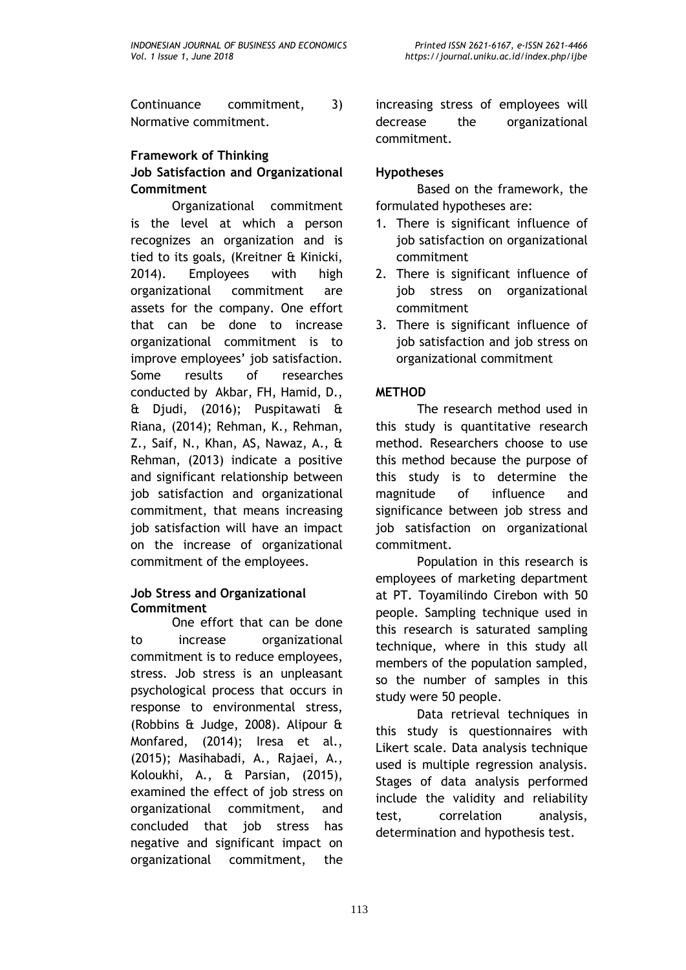Continuance commitment, 3) Normative commitment.

## **Framework of Thinking Job Satisfaction and Organizational Commitment**

Organizational commitment is the level at which a person recognizes an organization and is tied to its goals, (Kreitner & Kinicki, 2014). Employees with high organizational commitment are assets for the company. One effort that can be done to increase organizational commitment is to improve employees' job satisfaction. Some results of researches conducted by Akbar, FH, Hamid, D., & Djudi, (2016); Puspitawati & Riana, (2014); Rehman, K., Rehman, Z., Saif, N., Khan, AS, Nawaz, A., & Rehman, (2013) indicate a positive and significant relationship between job satisfaction and organizational commitment, that means increasing job satisfaction will have an impact on the increase of organizational commitment of the employees.

#### **Job Stress and Organizational Commitment**

One effort that can be done to increase organizational commitment is to reduce employees, stress. Job stress is an unpleasant psychological process that occurs in response to environmental stress, (Robbins & Judge, 2008). Alipour & Monfared, (2014); Iresa et al., (2015); Masihabadi, A., Rajaei, A., Koloukhi, A., & Parsian, (2015), examined the effect of job stress on organizational commitment, and concluded that job stress has negative and significant impact on organizational commitment, the

increasing stress of employees will decrease the organizational commitment.

# **Hypotheses**

Based on the framework, the formulated hypotheses are:

- 1. There is significant influence of job satisfaction on organizational commitment
- 2. There is significant influence of job stress on organizational commitment
- 3. There is significant influence of job satisfaction and job stress on organizational commitment

# **METHOD**

The research method used in this study is quantitative research method. Researchers choose to use this method because the purpose of this study is to determine the magnitude of influence and significance between job stress and job satisfaction on organizational commitment.

Population in this research is employees of marketing department at PT. Toyamilindo Cirebon with 50 people. Sampling technique used in this research is saturated sampling technique, where in this study all members of the population sampled, so the number of samples in this study were 50 people.

Data retrieval techniques in this study is questionnaires with Likert scale. Data analysis technique used is multiple regression analysis. Stages of data analysis performed include the validity and reliability test, correlation analysis, determination and hypothesis test.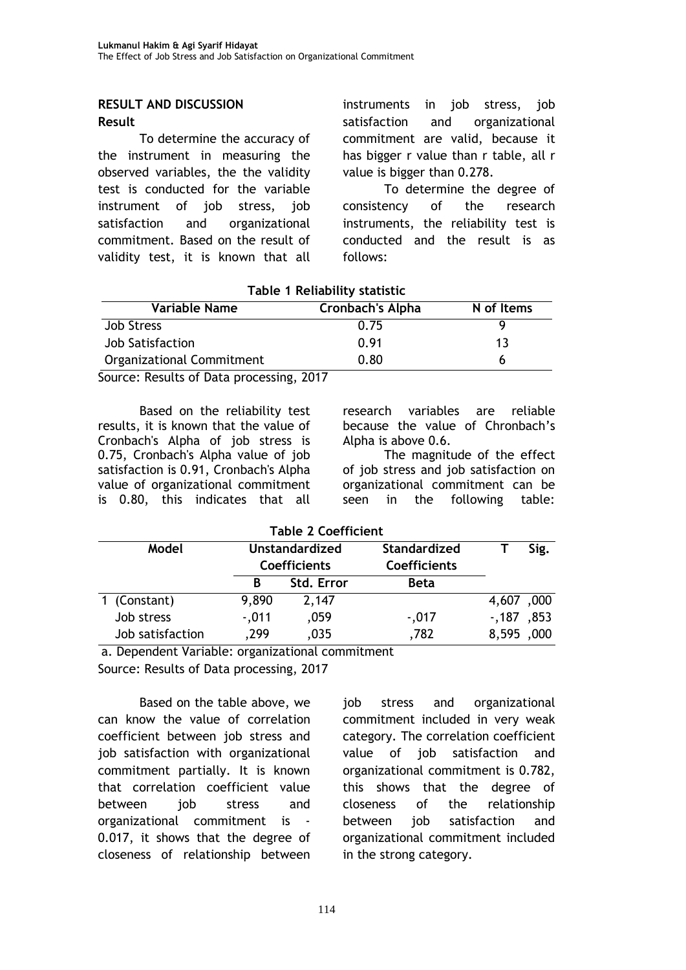#### **RESULT AND DISCUSSION Result**

To determine the accuracy of the instrument in measuring the observed variables, the the validity test is conducted for the variable instrument of job stress, job satisfaction and organizational commitment. Based on the result of validity test, it is known that all instruments in job stress, job satisfaction and organizational commitment are valid, because it has bigger r value than r table, all r value is bigger than 0.278.

To determine the degree of consistency of the research instruments, the reliability test is conducted and the result is as follows:

### **Table 1 Reliability statistic**

| <b>Variable Name</b>      | <b>Cronbach's Alpha</b> | N of Items |
|---------------------------|-------------------------|------------|
| <b>Job Stress</b>         | 0.75                    |            |
| Job Satisfaction          | 0.91                    | 13         |
| Organizational Commitment | 0.80                    |            |

Source: Results of Data processing, 2017

Based on the reliability test results, it is known that the value of Cronbach's Alpha of job stress is 0.75, Cronbach's Alpha value of job satisfaction is 0.91, Cronbach's Alpha value of organizational commitment is 0.80, this indicates that all

research variables are reliable because the value of Chronbach's Alpha is above 0.6.

The magnitude of the effect of job stress and job satisfaction on organizational commitment can be seen in the following table:

| <b>Table 2 Coefficient</b> |                                              |            |                                            |            |      |
|----------------------------|----------------------------------------------|------------|--------------------------------------------|------------|------|
| Model                      | <b>Unstandardized</b><br><b>Coefficients</b> |            | <b>Standardized</b><br><b>Coefficients</b> |            | Sig. |
|                            | B                                            | Std. Error | <b>Beta</b>                                |            |      |
| 1 (Constant)               | 9,890                                        | 2,147      |                                            | 4,607,000  |      |
| Job stress                 | $-0.011$                                     | ,059       | $-0.017$                                   | $-187,853$ |      |
| Job satisfaction           | .299                                         | ,035       | .782                                       | 8,595      | ,000 |

a. Dependent Variable: organizational commitment

Source: Results of Data processing, 2017

Based on the table above, we can know the value of correlation coefficient between job stress and job satisfaction with organizational commitment partially. It is known that correlation coefficient value between iob stress and organizational commitment is - 0.017, it shows that the degree of closeness of relationship between

job stress and organizational commitment included in very weak category. The correlation coefficient value of job satisfaction and organizational commitment is 0.782, this shows that the degree of closeness of the relationship between iob satisfaction and organizational commitment included in the strong category.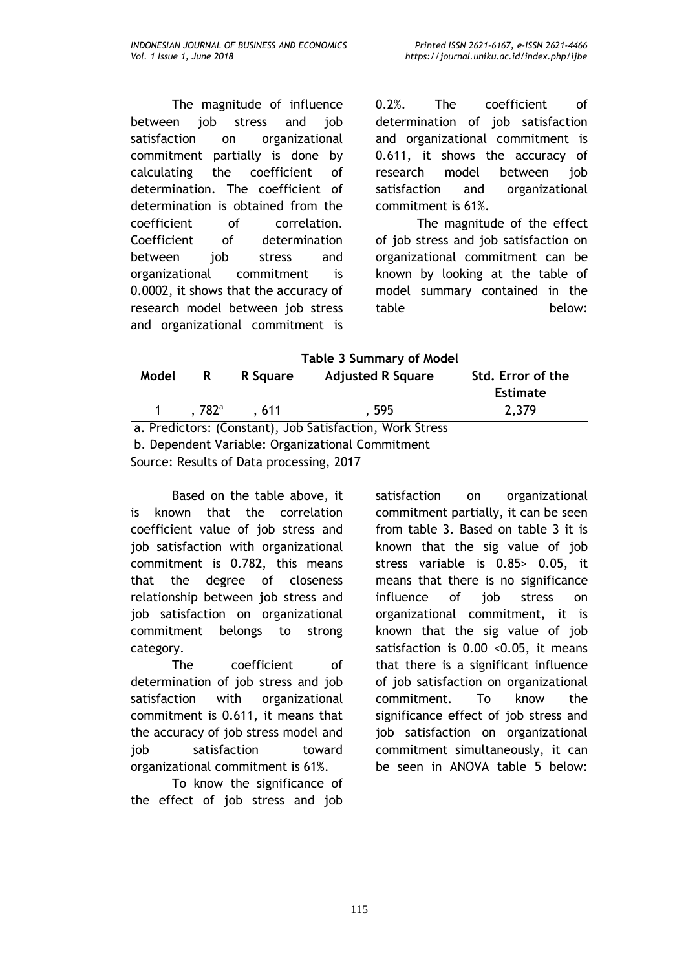The magnitude of influence between job stress and job satisfaction on organizational commitment partially is done by calculating the coefficient of determination. The coefficient of determination is obtained from the coefficient of correlation. Coefficient of determination between job stress and organizational commitment is 0.0002, it shows that the accuracy of research model between job stress and organizational commitment is

0.2%. The coefficient of determination of job satisfaction and organizational commitment is 0.611, it shows the accuracy of research model between job satisfaction and organizational commitment is 61%.

The magnitude of the effect of job stress and job satisfaction on organizational commitment can be known by looking at the table of model summary contained in the table below:

**Table 3 Summary of Model**

| Model                                                    | R              | R Square | <b>Adjusted R Square</b> | Std. Error of the |  |
|----------------------------------------------------------|----------------|----------|--------------------------|-------------------|--|
|                                                          |                |          |                          | <b>Estimate</b>   |  |
|                                                          | $.782^{\circ}$ | . 611    | . 595                    | 2,379             |  |
| a. Predictors: (Constant), Job Satisfaction, Work Stress |                |          |                          |                   |  |
| b. Dependent Variable: Organizational Commitment         |                |          |                          |                   |  |

Source: Results of Data processing, 2017

Based on the table above, it is known that the correlation coefficient value of job stress and job satisfaction with organizational commitment is 0.782, this means that the degree of closeness relationship between job stress and job satisfaction on organizational commitment belongs to strong category.

The coefficient of determination of job stress and job satisfaction with organizational commitment is 0.611, it means that the accuracy of job stress model and job satisfaction toward organizational commitment is 61%.

To know the significance of the effect of job stress and job

satisfaction on organizational commitment partially, it can be seen from table 3. Based on table 3 it is known that the sig value of job stress variable is 0.85> 0.05, it means that there is no significance influence of job stress on organizational commitment, it is known that the sig value of job satisfaction is 0.00 <0.05, it means that there is a significant influence of job satisfaction on organizational commitment. To know the significance effect of job stress and job satisfaction on organizational commitment simultaneously, it can be seen in ANOVA table 5 below: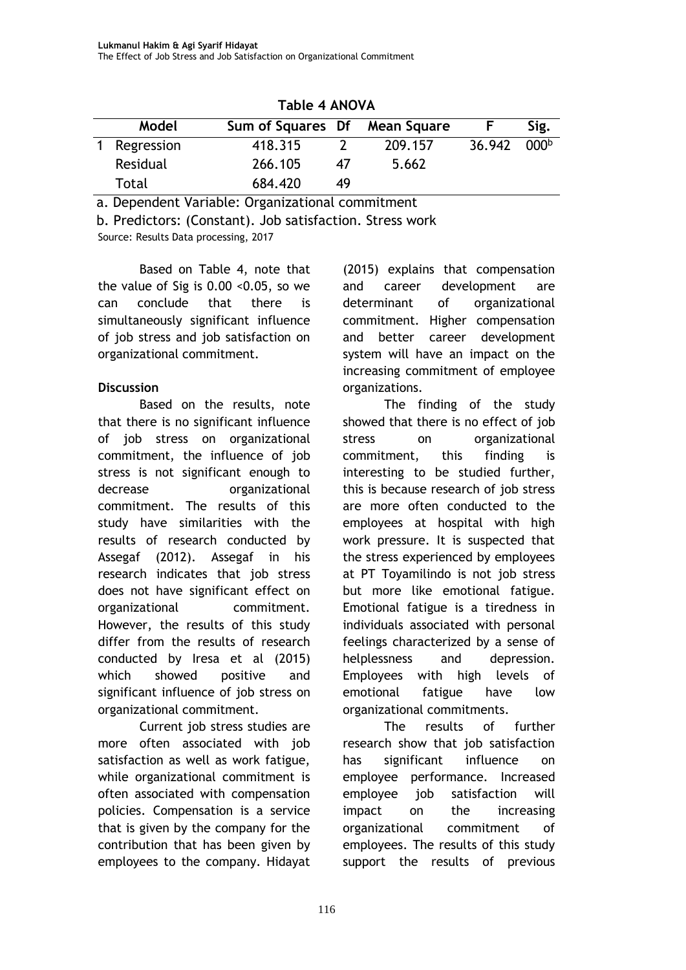| Model        | Sum of Squares Df Mean Square |    |         |        | Sig.             |  |
|--------------|-------------------------------|----|---------|--------|------------------|--|
| 1 Regression | 418.315                       |    | 209.157 | 36.942 | 000 <sup>b</sup> |  |
| Residual     | 266.105                       | 47 | 5.662   |        |                  |  |
| Total        | 684.420                       | 49 |         |        |                  |  |

**Table 4 ANOVA**

a. Dependent Variable: Organizational commitment

Source: Results Data processing, 2017 b. Predictors: (Constant). Job satisfaction. Stress work

Based on Table 4, note that the value of Sig is 0.00 <0.05, so we can conclude that there is simultaneously significant influence of job stress and job satisfaction on organizational commitment.

## **Discussion**

Based on the results, note that there is no significant influence of job stress on organizational commitment, the influence of job stress is not significant enough to decrease **organizational** commitment. The results of this study have similarities with the results of research conducted by Assegaf (2012). Assegaf in his research indicates that job stress does not have significant effect on organizational commitment. However, the results of this study differ from the results of research conducted by Iresa et al (2015) which showed positive and significant influence of job stress on organizational commitment.

Current job stress studies are more often associated with job satisfaction as well as work fatigue, while organizational commitment is often associated with compensation policies. Compensation is a service that is given by the company for the contribution that has been given by employees to the company. Hidayat

(2015) explains that compensation and career development are determinant of organizational commitment. Higher compensation and better career development system will have an impact on the increasing commitment of employee organizations.

The finding of the study showed that there is no effect of job stress on organizational commitment, this finding is interesting to be studied further, this is because research of job stress are more often conducted to the employees at hospital with high work pressure. It is suspected that the stress experienced by employees at PT Toyamilindo is not job stress but more like emotional fatigue. Emotional fatigue is a tiredness in individuals associated with personal feelings characterized by a sense of helplessness and depression. Employees with high levels of emotional fatigue have low organizational commitments.

The results of further research show that job satisfaction has significant influence on employee performance. Increased employee job satisfaction will impact on the increasing organizational commitment of employees. The results of this study support the results of previous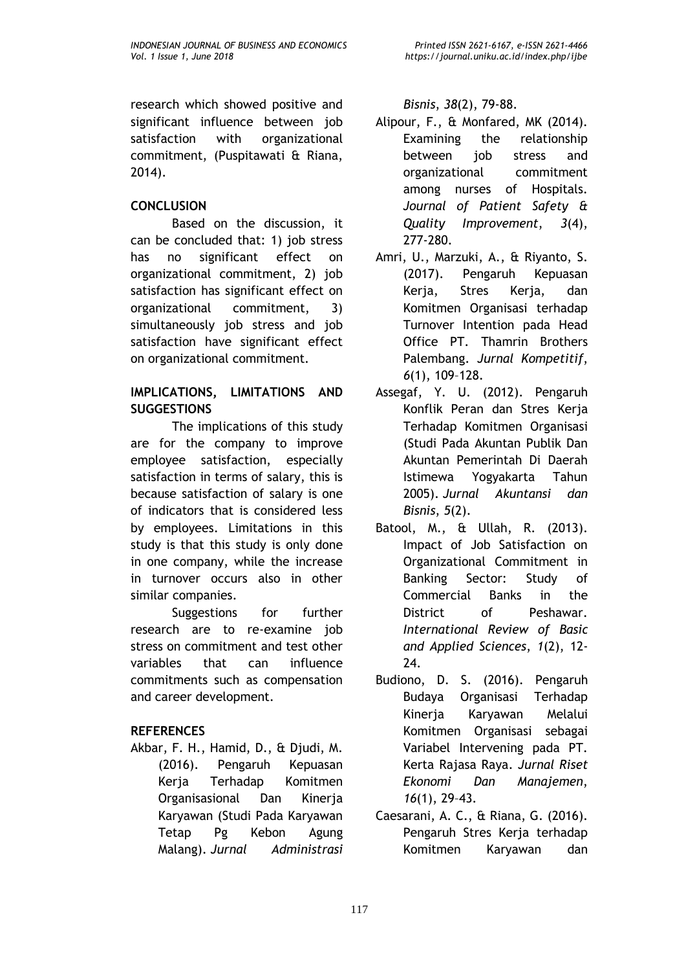research which showed positive and significant influence between job satisfaction with organizational commitment, (Puspitawati & Riana, 2014).

## **CONCLUSION**

Based on the discussion, it can be concluded that: 1) job stress has no significant effect on organizational commitment, 2) job satisfaction has significant effect on organizational commitment, 3) simultaneously job stress and job satisfaction have significant effect on organizational commitment.

### **IMPLICATIONS, LIMITATIONS AND SUGGESTIONS**

The implications of this study are for the company to improve employee satisfaction, especially satisfaction in terms of salary, this is because satisfaction of salary is one of indicators that is considered less by employees. Limitations in this study is that this study is only done in one company, while the increase in turnover occurs also in other similar companies.

Suggestions for further research are to re-examine job stress on commitment and test other variables that can influence commitments such as compensation and career development.

### **REFERENCES**

Akbar, F. H., Hamid, D., & Djudi, M. (2016). Pengaruh Kepuasan Kerja Terhadap Komitmen Organisasional Dan Kinerja Karyawan (Studi Pada Karyawan Tetap Pg Kebon Agung Malang). *Jurnal Administrasi*  *Bisnis*, *38*(2), 79-88.

- Alipour, F., & Monfared, MK (2014). Examining the relationship between job stress and organizational commitment among nurses of Hospitals. *Journal of Patient Safety & Quality Improvement*, *3*(4), 277-280.
- Amri, U., Marzuki, A., & Riyanto, S. (2017). Pengaruh Kepuasan Kerja, Stres Kerja, dan Komitmen Organisasi terhadap Turnover Intention pada Head Office PT. Thamrin Brothers Palembang. *Jurnal Kompetitif*, *6*(1), 109–128.
- Assegaf, Y. U. (2012). Pengaruh Konflik Peran dan Stres Kerja Terhadap Komitmen Organisasi (Studi Pada Akuntan Publik Dan Akuntan Pemerintah Di Daerah Istimewa Yogyakarta Tahun 2005). *Jurnal Akuntansi dan Bisnis*, *5*(2).
- Batool, M., & Ullah, R. (2013). Impact of Job Satisfaction on Organizational Commitment in Banking Sector: Study of Commercial Banks in the District of Peshawar. *International Review of Basic and Applied Sciences*, *1*(2), 12- 24.
- Budiono, D. S. (2016). Pengaruh Budaya Organisasi Terhadap Kinerja Karyawan Melalui Komitmen Organisasi sebagai Variabel Intervening pada PT. Kerta Rajasa Raya. *Jurnal Riset Ekonomi Dan Manajemen*, *16*(1), 29–43.
- Caesarani, A. C., & Riana, G. (2016). Pengaruh Stres Kerja terhadap Komitmen Karyawan dan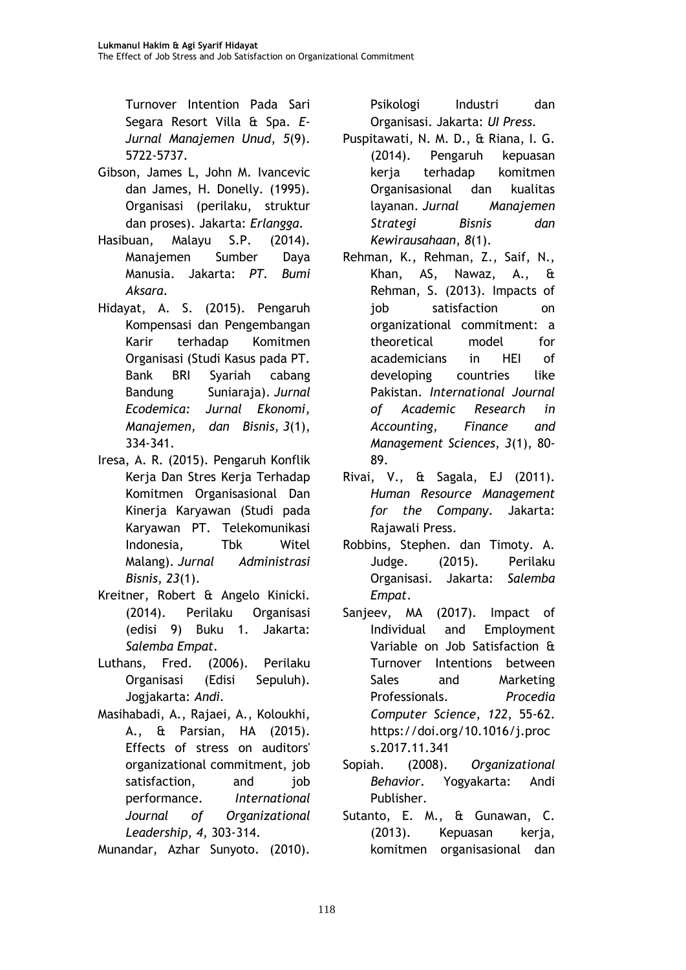Turnover Intention Pada Sari Segara Resort Villa & Spa. *E-Jurnal Manajemen Unud*, *5*(9). 5722-5737.

- Gibson, James L, John M. Ivancevic dan James, H. Donelly. (1995). Organisasi (perilaku, struktur dan proses). Jakarta: *Erlangga.*
- Hasibuan, Malayu S.P. (2014). Manajemen Sumber Daya Manusia. Jakarta: *PT. Bumi Aksara.*
- Hidayat, A. S. (2015). Pengaruh Kompensasi dan Pengembangan Karir terhadap Komitmen Organisasi (Studi Kasus pada PT. Bank BRI Syariah cabang Bandung Suniaraja). *Jurnal Ecodemica: Jurnal Ekonomi, Manajemen, dan Bisnis*, *3*(1), 334-341.
- Iresa, A. R. (2015). Pengaruh Konflik Kerja Dan Stres Kerja Terhadap Komitmen Organisasional Dan Kinerja Karyawan (Studi pada Karyawan PT. Telekomunikasi Indonesia, Tbk Witel Malang). *Jurnal Administrasi Bisnis*, *23*(1).
- Kreitner, Robert & Angelo Kinicki. (2014). Perilaku Organisasi (edisi 9) Buku 1. Jakarta: *Salemba Empat.*
- Luthans, Fred. (2006). Perilaku Organisasi (Edisi Sepuluh). Jogjakarta: *Andi.*
- Masihabadi, A., Rajaei, A., Koloukhi, A., & Parsian, HA (2015). Effects of stress on auditors' organizational commitment, job satisfaction, and iob performance. *International Journal of Organizational Leadership*, *4*, 303-314.

Munandar, Azhar Sunyoto. (2010).

Psikologi Industri dan Organisasi. Jakarta: *UI Press.*

- Puspitawati, N. M. D., & Riana, I. G. (2014). Pengaruh kepuasan kerja terhadap komitmen Organisasional dan kualitas layanan. *Jurnal Manajemen Strategi Bisnis dan Kewirausahaan*, *8*(1).
- Rehman, K., Rehman, Z., Saif, N., Khan, AS, Nawaz, A., & Rehman, S. (2013). Impacts of job satisfaction on organizational commitment: a theoretical model for academicians in HEI of developing countries like Pakistan. *International Journal of Academic Research in Accounting, Finance and Management Sciences*, *3*(1), 80- 89.
- Rivai, V., & Sagala, EJ (2011). *Human Resource Management for the Company*. Jakarta: Rajawali Press.
- Robbins, Stephen. dan Timoty. A. Judge. (2015). Perilaku Organisasi. Jakarta: *Salemba Empat*.
- Sanjeev, MA (2017). Impact of Individual and Employment Variable on Job Satisfaction & Turnover Intentions between Sales and Marketing Professionals. *Procedia Computer Science*, *122*, 55-62. https://doi.org/10.1016/j.proc s.2017.11.341
- Sopiah. (2008). *Organizational Behavior*. Yogyakarta: Andi Publisher.
- Sutanto, E. M., & Gunawan, C. (2013). Kepuasan kerja, komitmen organisasional dan